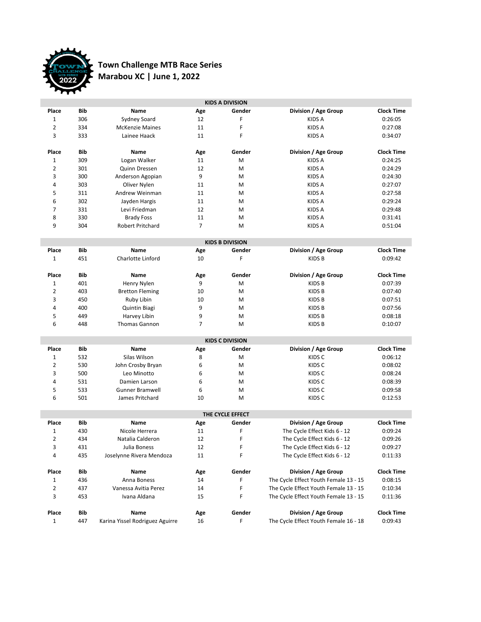

## **Town Challenge MTB Race Series Marabou XC | June 1, 2022**

| <b>KIDS A DIVISION</b> |                  |                                 |     |                        |                                       |                   |  |  |  |
|------------------------|------------------|---------------------------------|-----|------------------------|---------------------------------------|-------------------|--|--|--|
| Place                  | Bib              | Name                            | Age | Gender                 | Division / Age Group                  | <b>Clock Time</b> |  |  |  |
| $\mathbf{1}$           | 306              | Sydney Soard                    | 12  | F                      | <b>KIDS A</b>                         | 0:26:05           |  |  |  |
| $\overline{2}$         | 334              | <b>McKenzie Maines</b>          | 11  | F                      | <b>KIDS A</b>                         | 0:27:08           |  |  |  |
| 3                      | 333              | Lainee Haack                    | 11  | F                      | <b>KIDS A</b>                         | 0:34:07           |  |  |  |
|                        |                  |                                 |     |                        |                                       |                   |  |  |  |
| Place                  | Bib              | <b>Name</b>                     | Age | Gender                 | Division / Age Group                  | <b>Clock Time</b> |  |  |  |
| $\mathbf 1$            | 309              | Logan Walker                    | 11  | M                      | <b>KIDS A</b>                         | 0:24:25           |  |  |  |
| $\overline{2}$         | 301              | Quinn Dressen                   | 12  | M                      | <b>KIDS A</b>                         | 0:24:29           |  |  |  |
| 3                      | 300              | Anderson Agopian                | 9   | M                      | <b>KIDS A</b>                         | 0:24:30           |  |  |  |
| 4                      | 303              | Oliver Nylen                    | 11  | M                      | <b>KIDS A</b>                         | 0:27:07           |  |  |  |
| 5                      | 311              | Andrew Weinman                  | 11  | M                      | <b>KIDS A</b>                         | 0:27:58           |  |  |  |
| 6                      | 302              | Jayden Hargis                   | 11  | M                      | <b>KIDS A</b>                         | 0:29:24           |  |  |  |
| 7                      | 331              | Levi Friedman                   | 12  | M                      | <b>KIDS A</b>                         | 0:29:48           |  |  |  |
| 8                      | 330              | <b>Brady Foss</b>               | 11  | M                      | <b>KIDS A</b>                         | 0:31:41           |  |  |  |
| 9                      | 304              | Robert Pritchard                | 7   | M                      | KIDS A                                | 0:51:04           |  |  |  |
|                        |                  |                                 |     | <b>KIDS B DIVISION</b> |                                       |                   |  |  |  |
| Place                  | <b>Bib</b>       | <b>Name</b>                     | Age | Gender                 | Division / Age Group                  | <b>Clock Time</b> |  |  |  |
| $\mathbf 1$            | 451              | Charlotte Linford               | 10  | F                      | <b>KIDS B</b>                         | 0:09:42           |  |  |  |
|                        |                  |                                 |     |                        |                                       |                   |  |  |  |
| Place                  | Bib              | Name                            | Age | Gender                 | Division / Age Group                  | <b>Clock Time</b> |  |  |  |
| $\mathbf{1}$           | 401              | Henry Nylen                     | 9   | M                      | <b>KIDSB</b>                          | 0:07:39           |  |  |  |
| $\overline{2}$         | 403              | <b>Bretton Fleming</b>          | 10  | M                      | <b>KIDS B</b>                         | 0:07:40           |  |  |  |
| 3                      | 450              | Ruby Libin                      | 10  | M                      | <b>KIDS B</b>                         | 0:07:51           |  |  |  |
| 4                      | 400              | Quintin Biagi                   | 9   | M                      | <b>KIDS B</b>                         | 0:07:56           |  |  |  |
| 5                      | 449              | Harvey Libin                    | 9   | M                      | <b>KIDS B</b>                         | 0:08:18           |  |  |  |
| 6                      | 448              | Thomas Gannon                   | 7   | M                      | KIDS B                                | 0:10:07           |  |  |  |
|                        |                  |                                 |     | <b>KIDS C DIVISION</b> |                                       |                   |  |  |  |
| Place                  | Bib              | Name                            | Age | Gender                 | Division / Age Group                  | <b>Clock Time</b> |  |  |  |
| 1                      | 532              | Silas Wilson                    | 8   | M                      | KIDS C                                | 0:06:12           |  |  |  |
| $\overline{2}$         | 530              | John Crosby Bryan               | 6   | M                      | KIDS C                                | 0:08:02           |  |  |  |
| 3                      | 500              | Leo Minotto                     | 6   | M                      | KIDS C                                | 0:08:24           |  |  |  |
| 4                      | 531              | Damien Larson                   | 6   | M                      | KIDS C                                | 0:08:39           |  |  |  |
| 5                      | 533              | <b>Gunner Bramwell</b>          | 6   | M                      | KIDS C                                | 0:09:58           |  |  |  |
| 6                      | 501              | James Pritchard                 | 10  | M                      | KIDS C                                |                   |  |  |  |
|                        |                  |                                 |     |                        |                                       | 0:12:53           |  |  |  |
|                        | THE CYCLE EFFECT |                                 |     |                        |                                       |                   |  |  |  |
| Place                  | Bib              | Name                            | Age | Gender                 | Division / Age Group                  | <b>Clock Time</b> |  |  |  |
| $\mathbf 1$            | 430              | Nicole Herrera                  | 11  | F                      | The Cycle Effect Kids 6 - 12          | 0:09:24           |  |  |  |
| $\overline{2}$         | 434              | Natalia Calderon                | 12  | F                      | The Cycle Effect Kids 6 - 12          | 0:09:26           |  |  |  |
| 3                      | 431              | Julia Boness                    | 12  | F                      | The Cycle Effect Kids 6 - 12          | 0:09:27           |  |  |  |
| 4                      | 435              | Joselynne Rivera Mendoza        | 11  | F                      | The Cycle Effect Kids 6 - 12          | 0:11:33           |  |  |  |
| Place                  | Bib              | Name                            | Age | Gender                 | Division / Age Group                  | <b>Clock Time</b> |  |  |  |
| $\mathbf 1$            | 436              | Anna Boness                     | 14  | F                      | The Cycle Effect Youth Female 13 - 15 | 0:08:15           |  |  |  |
| $\overline{2}$         | 437              | Vanessa Avitia Perez            | 14  | F                      | The Cycle Effect Youth Female 13 - 15 |                   |  |  |  |
| 3                      | 453              | Ivana Aldana                    | 15  | F                      | The Cycle Effect Youth Female 13 - 15 | 0:10:34           |  |  |  |
|                        |                  |                                 |     |                        |                                       | 0:11:36           |  |  |  |
| Place                  | Bib              | <b>Name</b>                     | Age | Gender                 | Division / Age Group                  | <b>Clock Time</b> |  |  |  |
| $\mathbf{1}$           | 447              | Karina Yissel Rodriguez Aguirre | 16  | F                      | The Cycle Effect Youth Female 16 - 18 | 0:09:43           |  |  |  |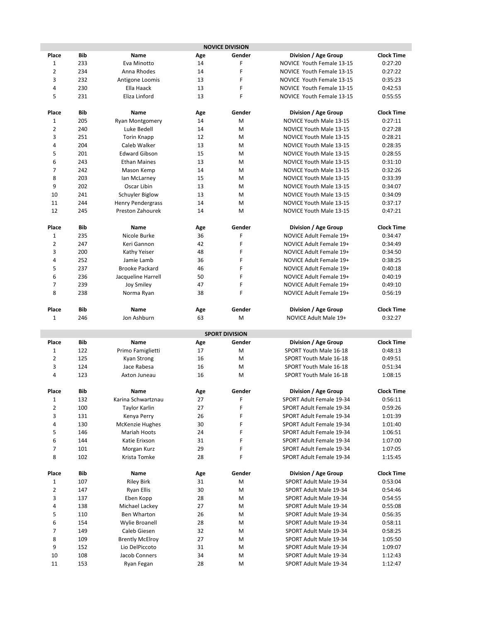| <b>NOVICE DIVISION</b> |            |                                      |          |                       |                                                  |                    |
|------------------------|------------|--------------------------------------|----------|-----------------------|--------------------------------------------------|--------------------|
| Place                  | Bib        | Name                                 | Age      | Gender                | Division / Age Group                             | <b>Clock Time</b>  |
| 1                      | 233        | Eva Minotto                          | 14       | F                     | NOVICE Youth Female 13-15                        | 0:27:20            |
| $\overline{2}$         | 234        | Anna Rhodes                          | 14       | F                     | NOVICE Youth Female 13-15                        | 0:27:22            |
| 3                      | 232        | Antigone Loomis                      | 13       | F                     | NOVICE Youth Female 13-15                        | 0:35:23            |
| 4                      | 230        | Ella Haack                           | 13       | F                     | NOVICE Youth Female 13-15                        | 0:42:53            |
| 5                      | 231        | Eliza Linford                        | 13       | F                     | NOVICE Youth Female 13-15                        | 0:55:55            |
|                        |            |                                      |          |                       |                                                  |                    |
| Place                  | Bib        | Name                                 | Age      | Gender                | Division / Age Group                             | <b>Clock Time</b>  |
| $\mathbf 1$            | 205        | <b>Ryan Montgomery</b>               | 14       | M                     | NOVICE Youth Male 13-15                          | 0:27:11            |
| $\overline{2}$         | 240        | Luke Bedell                          | 14       | M                     | <b>NOVICE Youth Male 13-15</b>                   | 0:27:28            |
| 3                      | 251        | <b>Torin Knapp</b>                   | 12       | M                     | NOVICE Youth Male 13-15                          | 0:28:21            |
| 4                      | 204        | Caleb Walker                         | 13       | М                     | NOVICE Youth Male 13-15                          | 0:28:35            |
| 5                      | 201        | <b>Edward Gibson</b>                 | 15       | М                     | NOVICE Youth Male 13-15                          | 0:28:55            |
| 6                      | 243        | <b>Ethan Maines</b>                  | 13       | М                     | NOVICE Youth Male 13-15                          | 0:31:10            |
| $\overline{7}$         | 242        | Mason Kemp                           | 14       | М                     | NOVICE Youth Male 13-15                          | 0:32:26            |
| 8                      | 203        | lan McLarney                         | 15       | М                     | NOVICE Youth Male 13-15                          | 0:33:39            |
| 9                      | 202        | Oscar Libin                          | 13       | м                     | NOVICE Youth Male 13-15                          | 0:34:07            |
| 10                     | 241        | Schuyler Biglow                      | 13       | М                     | NOVICE Youth Male 13-15                          | 0:34:09            |
| 11                     | 244        | <b>Henry Pendergrass</b>             | 14       | M                     | NOVICE Youth Male 13-15                          | 0:37:17            |
| 12                     | 245        | Preston Zahourek                     | 14       | M                     | NOVICE Youth Male 13-15                          | 0:47:21            |
|                        |            |                                      |          |                       |                                                  |                    |
| Place                  | Bib        | <b>Name</b>                          | Age      | Gender                | Division / Age Group                             | <b>Clock Time</b>  |
| $\mathbf 1$            | 235        | Nicole Burke                         | 36       | F                     | NOVICE Adult Female 19+                          | 0:34:47            |
| 2                      | 247        | Keri Gannon                          | 42       | F                     | NOVICE Adult Female 19+                          | 0:34:49            |
| 3                      | 200        | Kathy Yeiser                         | 48       | F                     | NOVICE Adult Female 19+                          | 0:34:50            |
| 4                      | 252        | Jamie Lamb                           | 36       | F                     | NOVICE Adult Female 19+                          | 0:38:25            |
| 5                      | 237        | <b>Brooke Packard</b>                | 46       | F                     | NOVICE Adult Female 19+                          | 0:40:18            |
| 6                      | 236        | Jacqueline Harrell                   | 50       | F                     | NOVICE Adult Female 19+                          | 0:40:19            |
| 7                      | 239        | <b>Joy Smiley</b>                    | 47       | F                     | NOVICE Adult Female 19+                          | 0:49:10            |
| 8                      | 238        | Norma Ryan                           | 38       | F                     | NOVICE Adult Female 19+                          | 0:56:19            |
| Place                  | Bib        | Name                                 | Age      | Gender                | Division / Age Group                             | <b>Clock Time</b>  |
| 1                      | 246        | Jon Ashburn                          | 63       | M                     | NOVICE Adult Male 19+                            | 0:32:27            |
|                        |            |                                      |          |                       |                                                  |                    |
|                        |            |                                      |          | <b>SPORT DIVISION</b> |                                                  |                    |
| Place                  | <b>Bib</b> | Name                                 | Age      | Gender                | Division / Age Group                             | <b>Clock Time</b>  |
| $\mathbf 1$            | 122        | Primo Famiglietti                    | 17       | M                     | SPORT Youth Male 16-18                           | 0:48:13            |
| $\mathbf{2}$           | 125        | Kyan Strong                          | 16       | M                     | SPORT Youth Male 16-18                           | 0:49:51            |
| 3                      | 124        | Jace Rabesa                          | 16       | М                     | SPORT Youth Male 16-18                           | 0:51:34            |
| 4                      | 123        | Axton Juneau                         | 16       | М                     | SPORT Youth Male 16-18                           | 1:08:15            |
|                        |            |                                      |          |                       |                                                  |                    |
| Place                  | <b>Bib</b> | Name                                 | Age      | Gender                | Division / Age Group                             | <b>Clock Time</b>  |
| $\mathbf 1$            | 132        | Karina Schwartznau                   | 27       | F                     | SPORT Adult Female 19-34                         | 0:56:11            |
| 2                      | 100        | Taylor Karlin                        | 27       | F                     | SPORT Adult Female 19-34                         | 0:59:26            |
| 3                      | 131        | Kenya Perry                          | 26       | F                     | SPORT Adult Female 19-34                         | 1:01:39            |
| 4                      | 130        | <b>McKenzie Hughes</b>               | 30       | F                     | SPORT Adult Female 19-34                         | 1:01:40            |
| 5                      | 146        | Mariah Hoots                         | 24       | F                     | SPORT Adult Female 19-34                         | 1:06:51            |
| 6                      | 144        | Katie Erixson                        | 31       | F                     | SPORT Adult Female 19-34                         | 1:07:00            |
| 7                      | 101        | Morgan Kurz                          | 29       | F                     | SPORT Adult Female 19-34                         | 1:07:05            |
| 8                      | 102        | Krista Tomke                         | 28       | F                     | SPORT Adult Female 19-34                         | 1:15:45            |
|                        |            |                                      |          |                       |                                                  |                    |
| Place                  | Bib        | Name                                 | Age      | Gender                | Division / Age Group                             | <b>Clock Time</b>  |
| $\mathbf 1$            | 107        | <b>Riley Birk</b>                    | 31       | M                     | SPORT Adult Male 19-34                           | 0:53:04            |
| 2<br>3                 | 147        | Ryan Ellis                           | 30       | M                     | SPORT Adult Male 19-34                           | 0:54:46            |
| 4                      | 137<br>138 | Eben Kopp                            | 28<br>27 | М<br>M                | SPORT Adult Male 19-34<br>SPORT Adult Male 19-34 | 0:54:55            |
| 5                      | 110        | Michael Lackey                       |          |                       |                                                  | 0:55:08            |
| 6                      | 154        | Ben Wharton<br><b>Wylie Broanell</b> | 26<br>28 | М                     | SPORT Adult Male 19-34                           | 0:56:35            |
| 7                      | 149        | Caleb Giesen                         | 32       | M<br>M                | SPORT Adult Male 19-34<br>SPORT Adult Male 19-34 | 0:58:11<br>0:58:25 |
| 8                      | 109        | <b>Brently McElroy</b>               | 27       | M                     | SPORT Adult Male 19-34                           | 1:05:50            |
| 9                      | 152        | Lio DelPiccoto                       | 31       | M                     | SPORT Adult Male 19-34                           | 1:09:07            |
| 10                     | 108        | Jacob Conners                        | 34       | M                     | SPORT Adult Male 19-34                           | 1:12:43            |
| 11                     | 153        | Ryan Fegan                           | 28       | М                     | SPORT Adult Male 19-34                           | 1:12:47            |
|                        |            |                                      |          |                       |                                                  |                    |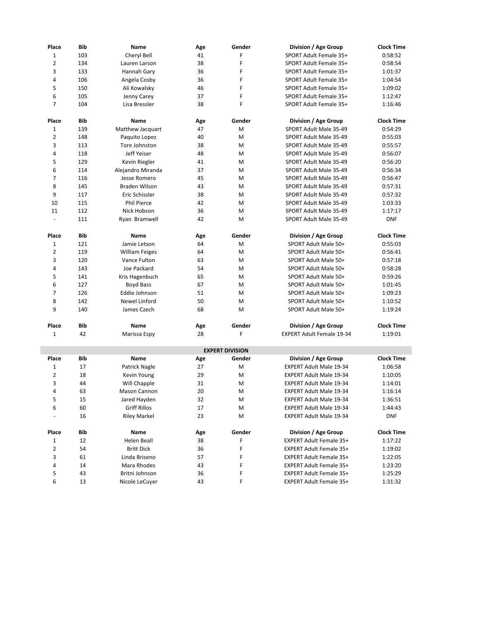| Place          | Bib        | Name                  | Age | Gender                 | Division / Age Group             | <b>Clock Time</b> |
|----------------|------------|-----------------------|-----|------------------------|----------------------------------|-------------------|
| $\mathbf{1}$   | 103        | Cheryl Bell           | 41  | F                      | SPORT Adult Female 35+           | 0:58:52           |
| $\overline{2}$ | 134        | Lauren Larson         | 38  | F                      | SPORT Adult Female 35+           | 0:58:54           |
| 3              | 133        | Hannah Gary           | 36  | F                      | SPORT Adult Female 35+           | 1:01:37           |
| 4              | 106        | Angela Cosby          | 36  | F                      | SPORT Adult Female 35+           | 1:04:54           |
| 5              | 150        | Ali Kowalsky          | 46  | F                      | SPORT Adult Female 35+           | 1:09:02           |
| 6              | 105        | Jenny Carey           | 37  | F                      | SPORT Adult Female 35+           | 1:12:47           |
| $\overline{7}$ | 104        | Lisa Bressler         | 38  | F                      | SPORT Adult Female 35+           | 1:16:46           |
|                |            |                       |     |                        |                                  |                   |
| Place          | Bib        | <b>Name</b>           | Age | Gender                 | Division / Age Group             | <b>Clock Time</b> |
| $\mathbf{1}$   | 139        | Matthew Jacquart      | 47  | M                      | SPORT Adult Male 35-49           | 0:54:29           |
| $\overline{2}$ | 148        | Paquito Lopez         | 40  | M                      | SPORT Adult Male 35-49           | 0:55:03           |
| 3              | 113        | Tore Johnston         | 38  | M                      | SPORT Adult Male 35-49           | 0:55:57           |
| 4              | 118        | Jeff Yeiser           | 48  | M                      | SPORT Adult Male 35-49           | 0:56:07           |
| 5              | 129        | Kevin Riegler         | 41  | M                      | SPORT Adult Male 35-49           | 0:56:20           |
| 6              | 114        | Alejandro Miranda     | 37  | M                      | SPORT Adult Male 35-49           | 0:56:34           |
| 7              | 116        | Jesse Romero          | 45  | M                      | SPORT Adult Male 35-49           | 0:56:47           |
| 8              | 145        | <b>Braden Wilson</b>  | 43  | M                      | SPORT Adult Male 35-49           | 0:57:31           |
| 9              | 117        | Eric Schissler        | 38  | M                      | SPORT Adult Male 35-49           | 0:57:32           |
| 10             | 115        | <b>Phil Pierce</b>    | 42  | M                      | SPORT Adult Male 35-49           | 1:03:33           |
| 11             | 112        | Nick Hobson           | 36  | M                      | SPORT Adult Male 35-49           | 1:17:17           |
| $\frac{1}{2}$  | 111        | Ryan Bramwell         | 42  | M                      | SPORT Adult Male 35-49           | <b>DNF</b>        |
|                |            |                       |     |                        |                                  |                   |
| Place          | Bib        | Name                  | Age | Gender                 | Division / Age Group             | <b>Clock Time</b> |
| $\mathbf{1}$   | 121        | Jamie Letson          | 64  | M                      | SPORT Adult Male 50+             | 0:55:03           |
| $\overline{2}$ | 119        | <b>William Feiges</b> | 64  | M                      | SPORT Adult Male 50+             | 0:56:41           |
| 3              | 120        | Vance Fulton          | 63  | M                      | SPORT Adult Male 50+             | 0:57:18           |
| 4              | 143        | Joe Packard           | 54  | M                      | SPORT Adult Male 50+             | 0:58:28           |
| 5              | 141        | Kris Hagenbuch        | 65  | M                      | SPORT Adult Male 50+             | 0:59:26           |
| 6              | 127        | Boyd Bass             | 67  | M                      | SPORT Adult Male 50+             | 1:01:45           |
| $\overline{7}$ | 126        | Eddie Johnson         | 51  | M                      | SPORT Adult Male 50+             | 1:09:23           |
| 8              | 142        | Newel Linford         | 50  | M                      | SPORT Adult Male 50+             | 1:10:52           |
| 9              | 140        | James Czech           | 68  | M                      | SPORT Adult Male 50+             | 1:19:24           |
|                |            |                       |     |                        |                                  |                   |
| Place          | <b>Bib</b> | Name                  | Age | Gender                 | Division / Age Group             | <b>Clock Time</b> |
| $\mathbf{1}$   | 42         | Marissa Espy          | 28  | F                      | <b>EXPERT Adult Female 19-34</b> | 1:19:01           |
|                |            |                       |     | <b>EXPERT DIVISION</b> |                                  |                   |
| Place          | Bib        | Name                  | Age | Gender                 | Division / Age Group             | <b>Clock Time</b> |
| $\mathbf{1}$   | 17         | Patrick Nagle         | 27  | M                      | <b>EXPERT Adult Male 19-34</b>   | 1:06:58           |
| $\mathbf{2}$   | 18         | Kevin Young           | 29  | M                      | <b>EXPERT Adult Male 19-34</b>   | 1:10:05           |
| 3              | 44         | Will Chapple          | 31  | M                      | <b>EXPERT Adult Male 19-34</b>   | 1:14:01           |
| 4              | 63         | Mason Cannon          | 20  | M                      | EXPERT Adult Male 19-34          | 1:16:14           |
| 5              | 15         | Jared Hayden          | 32  | М                      | EXPERT Adult Male 19-34          | 1:36:51           |
| 6              | 60         | <b>Griff Rillos</b>   | 17  | Μ                      | EXPERT Adult Male 19-34          | 1:44:43           |
|                | 16         | Riley Markel          | 23  | М                      | <b>EXPERT Adult Male 19-34</b>   | <b>DNF</b>        |
|                |            |                       |     |                        |                                  |                   |
| Place          | Bib        | Name                  | Age | Gender                 | Division / Age Group             | <b>Clock Time</b> |
| $\mathbf{1}$   | 12         | Helen Beall           | 38  | F                      | EXPERT Adult Female 35+          | 1:17:22           |
| $\overline{2}$ | 54         | <b>Britt Dick</b>     | 36  | F                      | EXPERT Adult Female 35+          | 1:19:02           |
| 3              | 61         | Linda Briseno         | 57  | F                      | EXPERT Adult Female 35+          | 1:22:05           |
| 4              | 14         | Mara Rhodes           | 43  | F                      | EXPERT Adult Female 35+          | 1:23:20           |
| 5              | 43         | Britni Johnson        | 36  | F                      | EXPERT Adult Female 35+          | 1:25:29           |
| 6              | 13         | Nicole LeCuyer        | 43  | F                      | EXPERT Adult Female 35+          | 1:31:32           |